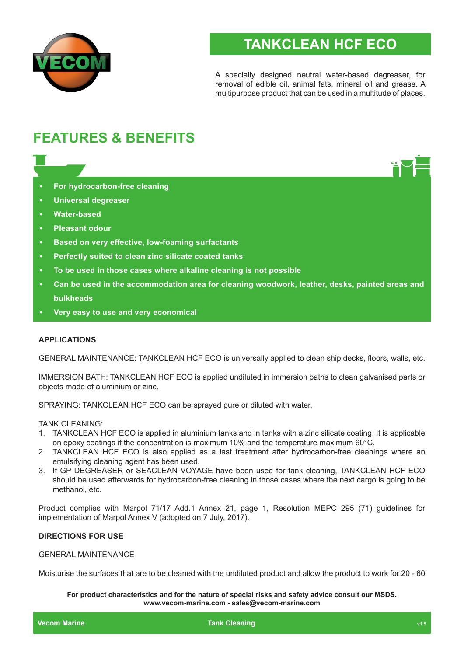

# **TANKCLEAN HCF ECO**

A specially designed neutral water-based degreaser, for removal of edible oil, animal fats, mineral oil and grease. A multipurpose product that can be used in a multitude of places.

# **FEATURES & BENEFITS**

- **• For hydrocarbon-free cleaning**
- **• Universal degreaser**
- **• Water-based**
- **• Pleasant odour**
- **• Based on very effective, low-foaming surfactants**
- **• Perfectly suited to clean zinc silicate coated tanks**
- **• To be used in those cases where alkaline cleaning is not possible**
- **• Can be used in the accommodation area for cleaning woodwork, leather, desks, painted areas and bulkheads**
- **• Very easy to use and very economical**

## **APPLICATIONS**

GENERAL MAINTENANCE: TANKCLEAN HCF ECO is universally applied to clean ship decks, floors, walls, etc.

IMMERSION BATH: TANKCLEAN HCF ECO is applied undiluted in immersion baths to clean galvanised parts or objects made of aluminium or zinc.

SPRAYING: TANKCLEAN HCF ECO can be sprayed pure or diluted with water.

TANK CLEANING:

- 1. TANKCLEAN HCF ECO is applied in aluminium tanks and in tanks with a zinc silicate coating. It is applicable on epoxy coatings if the concentration is maximum 10% and the temperature maximum 60°C.
- 2. TANKCLEAN HCF ECO is also applied as a last treatment after hydrocarbon-free cleanings where an emulsifying cleaning agent has been used.
- 3. If GP DEGREASER or SEACLEAN VOYAGE have been used for tank cleaning, TANKCLEAN HCF ECO should be used afterwards for hydrocarbon-free cleaning in those cases where the next cargo is going to be methanol, etc.

Product complies with Marpol 71/17 Add.1 Annex 21, page 1, Resolution MEPC 295 (71) guidelines for implementation of Marpol Annex V (adopted on 7 July, 2017).

## **DIRECTIONS FOR USE**

## GENERAL MAINTENANCE

Moisturise the surfaces that are to be cleaned with the undiluted product and allow the product to work for 20 - 60

#### **For product characteristics and for the nature of special risks and safety advice consult our MSDS. www.vecom-marine.com - sales@vecom-marine.com**